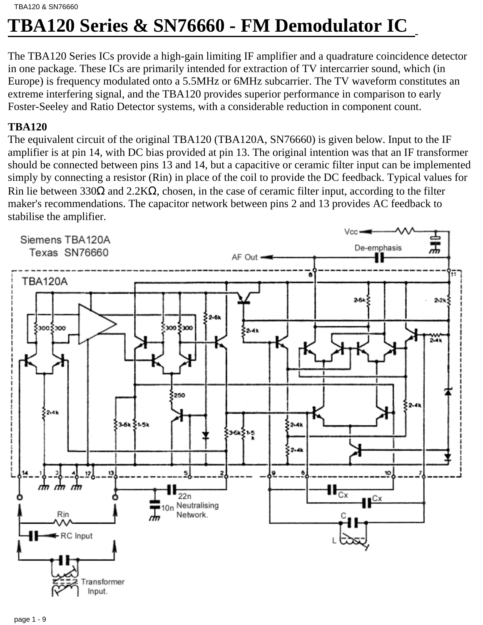# **TBA120 Series & SN76660 - FM Demodulator IC**

The TBA120 Series ICs provide a high-gain limiting IF amplifier and a quadrature coincidence detector in one package. These ICs are primarily intended for extraction of TV intercarrier sound, which (in Europe) is frequency modulated onto a 5.5MHz or 6MHz subcarrier. The TV waveform constitutes an extreme interfering signal, and the TBA120 provides superior performance in comparison to early Foster-Seeley and Ratio Detector systems, with a considerable reduction in component count.

# **TBA120**

The equivalent circuit of the original TBA120 (TBA120A, SN76660) is given below. Input to the IF amplifier is at pin 14, with DC bias provided at pin 13. The original intention was that an IF transformer should be connected between pins 13 and 14, but a capacitive or ceramic filter input can be implemented simply by connecting a resistor (Rin) in place of the coil to provide the DC feedback. Typical values for Rin lie between 330 $\Omega$  and 2.2K $\Omega$ , chosen, in the case of ceramic filter input, according to the filter maker's recommendations. The capacitor network between pins 2 and 13 provides AC feedback to stabilise the amplifier.

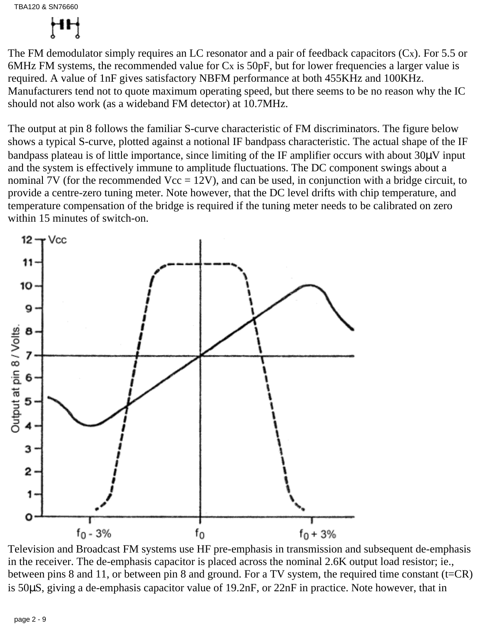

The FM demodulator simply requires an LC resonator and a pair of feedback capacitors  $(Cx)$ . For 5.5 or 6MHz FM systems, the recommended value for  $Cx$  is  $50pF$ , but for lower frequencies a larger value is required. A value of 1nF gives satisfactory NBFM performance at both 455KHz and 100KHz. Manufacturers tend not to quote maximum operating speed, but there seems to be no reason why the IC should not also work (as a wideband FM detector) at 10.7MHz.

The output at pin 8 follows the familiar S-curve characteristic of FM discriminators. The figure below shows a typical S-curve, plotted against a notional IF bandpass characteristic. The actual shape of the IF bandpass plateau is of little importance, since limiting of the IF amplifier occurs with about 30µV input and the system is effectively immune to amplitude fluctuations. The DC component swings about a nominal 7V (for the recommended  $Vec = 12V$ ), and can be used, in conjunction with a bridge circuit, to provide a centre-zero tuning meter. Note however, that the DC level drifts with chip temperature, and temperature compensation of the bridge is required if the tuning meter needs to be calibrated on zero within 15 minutes of switch-on.



Television and Broadcast FM systems use HF pre-emphasis in transmission and subsequent de-emphasis in the receiver. The de-emphasis capacitor is placed across the nominal 2.6K output load resistor; ie., between pins 8 and 11, or between pin 8 and ground. For a TV system, the required time constant (t=CR) is 50µS, giving a de-emphasis capacitor value of 19.2nF, or 22nF in practice. Note however, that in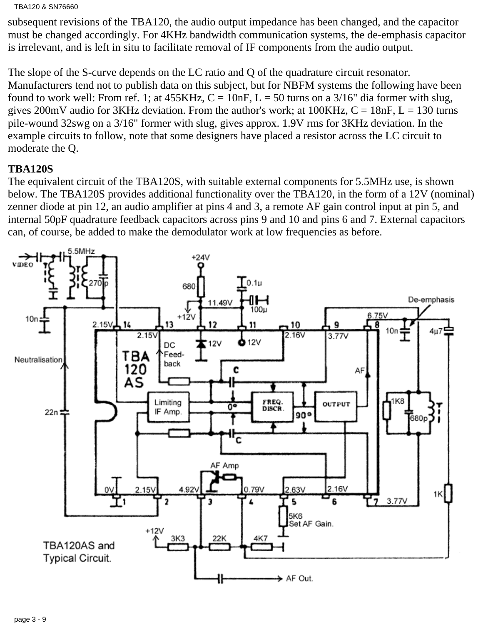#### TBA120 & SN76660

subsequent revisions of the TBA120, the audio output impedance has been changed, and the capacitor must be changed accordingly. For 4KHz bandwidth communication systems, the de-emphasis capacitor is irrelevant, and is left in situ to facilitate removal of IF components from the audio output.

The slope of the S-curve depends on the LC ratio and Q of the quadrature circuit resonator. Manufacturers tend not to publish data on this subject, but for NBFM systems the following have been found to work well: From ref. 1; at  $455KHz$ ,  $C = 10nF$ ,  $L = 50$  turns on a  $3/16"$  dia former with slug, gives 200mV audio for 3KHz deviation. From the author's work; at  $100KHz$ ,  $C = 18nF$ ,  $L = 130$  turns pile-wound 32swg on a 3/16" former with slug, gives approx. 1.9V rms for 3KHz deviation. In the example circuits to follow, note that some designers have placed a resistor across the LC circuit to moderate the Q.

### **TBA120S**

The equivalent circuit of the TBA120S, with suitable external components for 5.5MHz use, is shown below. The TBA120S provides additional functionality over the TBA120, in the form of a 12V (nominal) zenner diode at pin 12, an audio amplifier at pins 4 and 3, a remote AF gain control input at pin 5, and internal 50pF quadrature feedback capacitors across pins 9 and 10 and pins 6 and 7. External capacitors can, of course, be added to make the demodulator work at low frequencies as before.

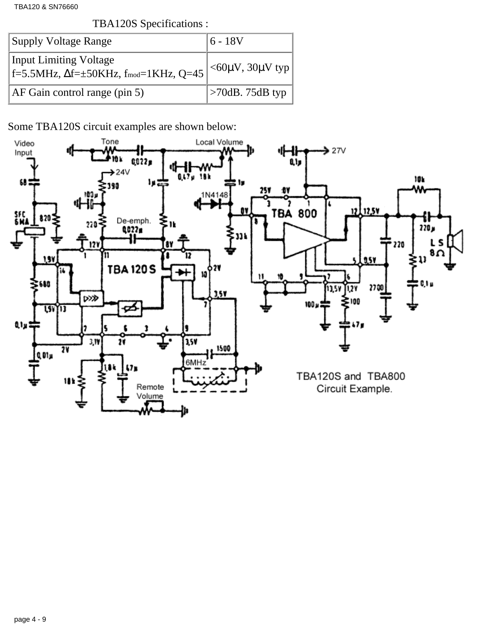TBA120 & SN76660

TBA120S Specifications :

| Supply Voltage Range                                                                        | 6 - 18V                         |
|---------------------------------------------------------------------------------------------|---------------------------------|
| <b>Input Limiting Voltage</b><br>$\vert$ f=5.5MHz, $\Delta$ f= $\pm$ 50KHz, fmod=1KHz, Q=45 | $<$ 60μV, 30μV typ              |
| $AF$ Gain control range (pin 5)                                                             | $\vert$ >70dB. 75dB typ $\vert$ |

Some TBA120S circuit examples are shown below:

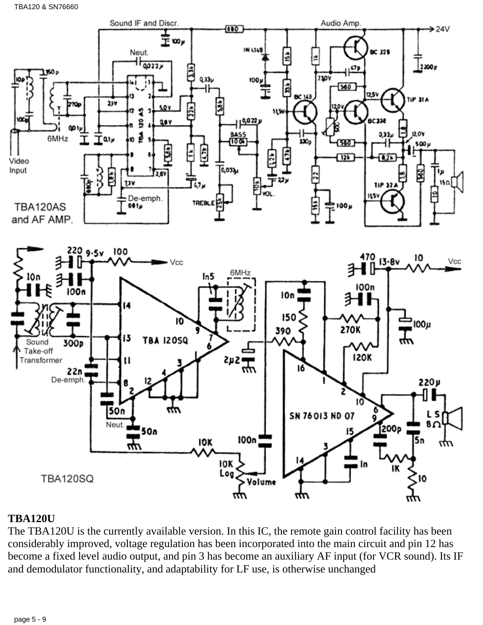

# **TBA120U**

The TBA120U is the currently available version. In this IC, the remote gain control facility has been considerably improved, voltage regulation has been incorporated into the main circuit and pin 12 has become a fixed level audio output, and pin 3 has become an auxiliary AF input (for VCR sound). Its IF and demodulator functionality, and adaptability for LF use, is otherwise unchanged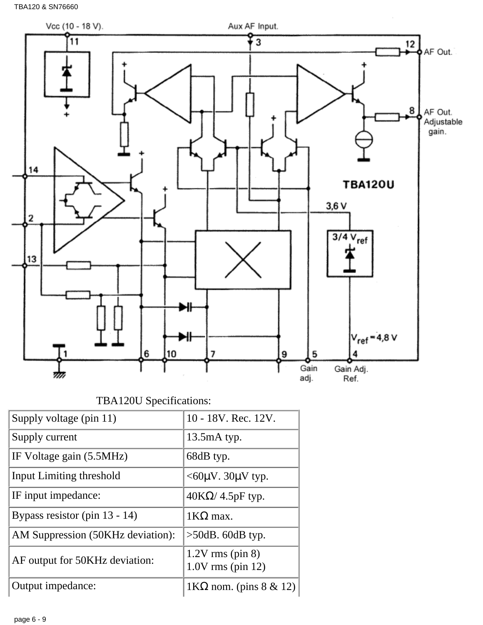

TBA120U Specifications:

| Supply voltage (pin 11)           | 10 - 18V. Rec. 12V.                       |
|-----------------------------------|-------------------------------------------|
| Supply current                    | $13.5mA$ typ.                             |
| IF Voltage gain (5.5MHz)          | 68dB typ.                                 |
| Input Limiting threshold          | $<$ 60 $\mu$ V. 30 $\mu$ V typ.           |
| IF input impedance:               | $40K\Omega/4.5pF$ typ.                    |
| Bypass resistor (pin 13 - 14)     | $1KΩ$ max.                                |
| AM Suppression (50KHz deviation): | $>50$ dB. 60dB typ.                       |
| AF output for 50KHz deviation:    | $1.2V$ rms (pin 8)<br>$1.0V$ rms (pin 12) |
| Output impedance:                 | $1KΩ$ nom. (pins 8 & 12)                  |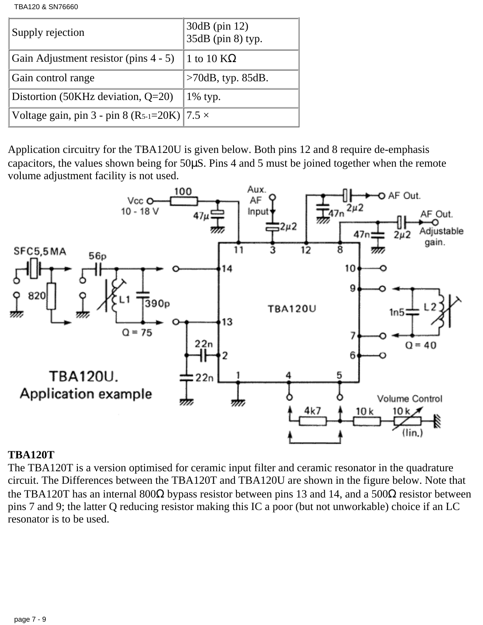TBA120 & SN76660

| Supply rejection                                      | 30dB (pin 12)<br>35dB (pin 8) typ. |
|-------------------------------------------------------|------------------------------------|
| Gain Adjustment resistor (pins $4 - 5$ ) 1 to 10 KQ   |                                    |
| Gain control range                                    | $>70$ dB, typ. 85dB.               |
| Distortion (50KHz deviation, $Q=20$ )                 | $1\%$ typ.                         |
| Voltage gain, pin 3 - pin 8 (R5-1=20K)   $7.5 \times$ |                                    |

Application circuitry for the TBA120U is given below. Both pins 12 and 8 require de-emphasis capacitors, the values shown being for 50µS. Pins 4 and 5 must be joined together when the remote volume adjustment facility is not used.



#### **TBA120T**

The TBA120T is a version optimised for ceramic input filter and ceramic resonator in the quadrature circuit. The Differences between the TBA120T and TBA120U are shown in the figure below. Note that the TBA120T has an internal 800Ω bypass resistor between pins 13 and 14, and a 500Ω resistor between pins 7 and 9; the latter Q reducing resistor making this IC a poor (but not unworkable) choice if an LC resonator is to be used.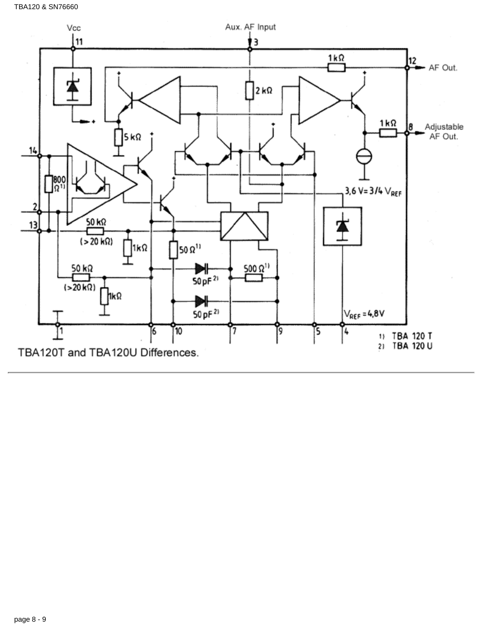